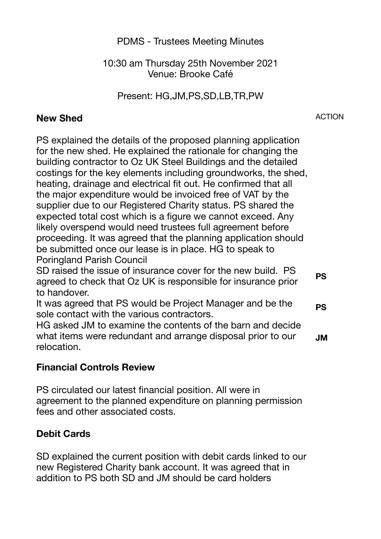PDMS - Trustees Meeting Minutes

10:30 am Thursday 25th November 2021 Venue: Brooke Café

Present: HG,JM,PS,SD,LB,TR,PW

## **New Shed**

ACTION

PS explained the details of the proposed planning application for the new shed. He explained the rationale for changing the building contractor to Oz UK Steel Buildings and the detailed costings for the key elements including groundworks, the shed, heating, drainage and electrical fit out. He confirmed that all the major expenditure would be invoiced free of VAT by the supplier due to our Registered Charity status. PS shared the expected total cost which is a figure we cannot exceed. Any likely overspend would need trustees full agreement before proceeding. It was agreed that the planning application should be submitted once our lease is in place. HG to speak to Poringland Parish Council

SD raised the issue of insurance cover for the new build. PS agreed to check that Oz UK is responsible for insurance prior to handover. **PS** 

It was agreed that PS would be Project Manager and be the sole contact with the various contractors. **PS** 

HG asked JM to examine the contents of the barn and decide what items were redundant and arrange disposal prior to our relocation. **JM**

## **Financial Controls Review**

PS circulated our latest financial position. All were in agreement to the planned expenditure on planning permission fees and other associated costs.

## **Debit Cards**

SD explained the current position with debit cards linked to our new Registered Charity bank account. It was agreed that in addition to PS both SD and JM should be card holders